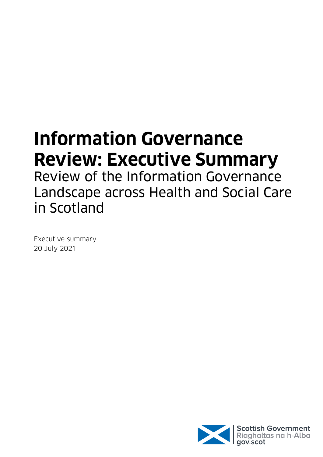# **Information Governance Review: Executive Summary**

Review of the Information Governance Landscape across Health and Social Care in Scotland

Executive summary 20 July 2021

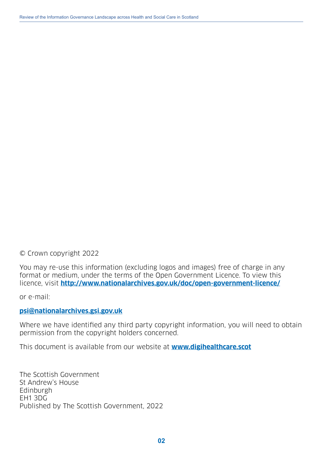© Crown copyright 2022

You may re-use this information (excluding logos and images) free of charge in any format or medium, under the terms of the Open Government Licence. To view this licence, visit **<http://www.nationalarchives.gov.uk/doc/open-government-licence/>**

or e-mail:

#### **[psi@nationalarchives.gsi.gov.uk](mailto:psi%40nationalarchives.gsi.gov.uk?subject=)**

Where we have identified any third party copyright information, you will need to obtain permission from the copyright holders concerned.

This document is available from our website at **[www.digihealthcare.scot](http://www.digihealthcare.scot)**

The Scottish Government St Andrew's House Edinburgh EH1 3DG Published by The Scottish Government, 2022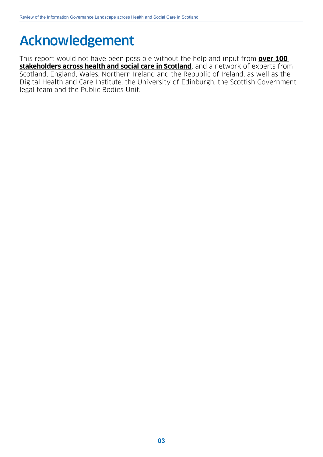# <span id="page-2-0"></span>Acknowledgement

This report would not have been possible without the help and input from **over 100 stakeholders across health and social care in Scotland**, and a network of experts from Scotland, England, Wales, Northern Ireland and the Republic of Ireland, as well as the Digital Health and Care Institute, the University of Edinburgh, the Scottish Government legal team and the Public Bodies Unit.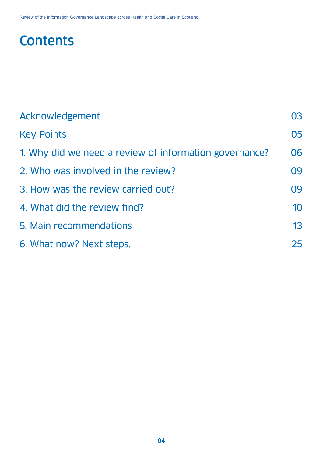# **Contents**

| Acknowledgement                                        | 03 |
|--------------------------------------------------------|----|
| <b>Key Points</b>                                      | 05 |
| 1. Why did we need a review of information governance? | 06 |
| 2. Who was involved in the review?                     | 09 |
| 3. How was the review carried out?                     | 09 |
| 4. What did the review find?                           | 10 |
| 5. Main recommendations                                | 13 |
| 6. What now? Next steps.                               | 25 |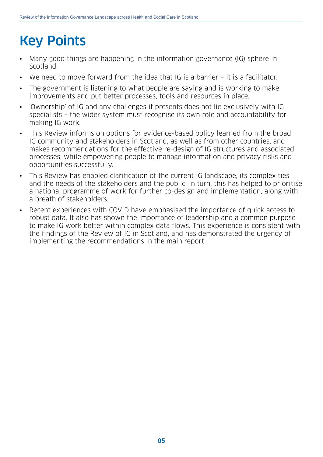# <span id="page-4-0"></span>Key Points

- Many good things are happening in the information governance (IG) sphere in Scotland.
- We need to move forward from the idea that IG is a barrier it is a facilitator.
- The government is listening to what people are saying and is working to make improvements and put better processes, tools and resources in place.
- 'Ownership' of IG and any challenges it presents does not lie exclusively with IG specialists – the wider system must recognise its own role and accountability for making IG work.
- This Review informs on options for evidence-based policy learned from the broad IG community and stakeholders in Scotland, as well as from other countries, and makes recommendations for the effective re-design of IG structures and associated processes, while empowering people to manage information and privacy risks and opportunities successfully.
- This Review has enabled clarification of the current IG landscape, its complexities and the needs of the stakeholders and the public. In turn, this has helped to prioritise a national programme of work for further co-design and implementation, along with a breath of stakeholders.
- Recent experiences with COVID have emphasised the importance of quick access to robust data. It also has shown the importance of leadership and a common purpose to make IG work better within complex data flows. This experience is consistent with the findings of the Review of IG in Scotland, and has demonstrated the urgency of implementing the recommendations in the main report.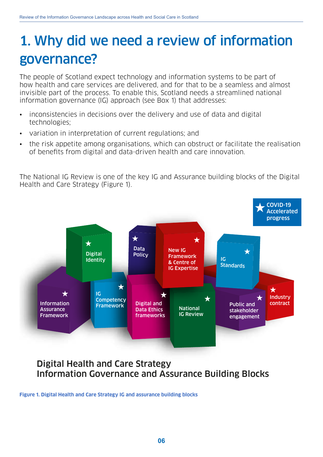# <span id="page-5-0"></span>1. Why did we need a review of information governance?

The people of Scotland expect technology and information systems to be part of how health and care services are delivered, and for that to be a seamless and almost invisible part of the process. To enable this, Scotland needs a streamlined national information governance (IG) approach (see Box 1) that addresses:

- inconsistencies in decisions over the delivery and use of data and digital technologies;
- variation in interpretation of current regulations; and
- the risk appetite among organisations, which can obstruct or facilitate the realisation of benefits from digital and data-driven health and care innovation.

The National IG Review is one of the key IG and Assurance building blocks of the Digital Health and Care Strategy [\(Figure 1\)](#page-5-1).



# Digital Health and Care Strategy Information Governance and Assurance Building Blocks

<span id="page-5-1"></span>**Figure 1. Digital Health and Care Strategy IG and assurance building blocks**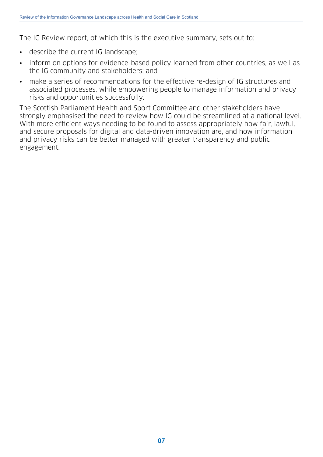The IG Review report, of which this is the executive summary, sets out to:

- describe the current IG landscape;
- inform on options for evidence-based policy learned from other countries, as well as the IG community and stakeholders; and
- make a series of recommendations for the effective re-design of IG structures and associated processes, while empowering people to manage information and privacy risks and opportunities successfully.

The Scottish Parliament Health and Sport Committee and other stakeholders have strongly emphasised the need to review how IG could be streamlined at a national level. With more efficient ways needing to be found to assess appropriately how fair, lawful. and secure proposals for digital and data-driven innovation are, and how information and privacy risks can be better managed with greater transparency and public engagement.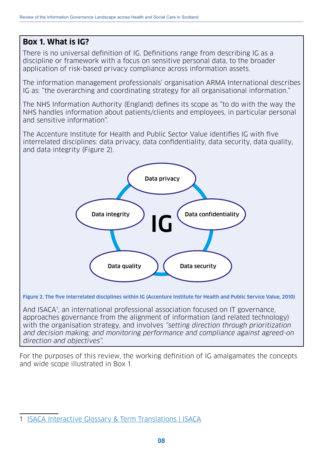### **Box 1. What is IG?**

There is no universal definition of IG. Definitions range from describing IG as a discipline or framework with a focus on sensitive personal data, to the broader application of risk-based privacy compliance across information assets.

The information management professionals' organisation ARMA International describes IG as: "the overarching and coordinating strategy for all organisational information."

The NHS Information Authority (England) defines its scope as "to do with the way the NHS handles information about patients/clients and employees, in particular personal and sensitive information".

<span id="page-7-1"></span>The Accenture Institute for Health and Public Sector Value identifies IG with five interrelated disciplines: data privacy, data confidentiality, data security, data quality, and data integrity [\(Figure 2\)](#page-7-0).



<span id="page-7-0"></span>**Figure 2. The five interrelated disciplines within IG (Accenture Institute for Health and Public Service Value, 2010)**

And ISACA1 , an international professional association focused on IT governance, approaches governance from the alignment of information (and related technology) with the organisation strategy, and involves "setting direction through prioritization and decision making; and monitoring performance and compliance against agreed-on direction and objectives".

For the purposes of this review, the working definition of IG amalgamates the concepts and wide scope illustrated in Box 1.

<sup>1</sup> [ISACA Interactive Glossary & Term Translations | ISACA](https://www.isaca.org/resources/glossary#glossi)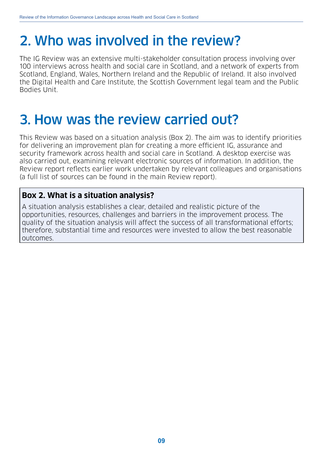# <span id="page-8-0"></span>2. Who was involved in the review?

The IG Review was an extensive multi-stakeholder consultation process involving over 100 interviews across health and social care in Scotland, and a network of experts from Scotland, England, Wales, Northern Ireland and the Republic of Ireland. It also involved the Digital Health and Care Institute, the Scottish Government legal team and the Public Bodies Unit.

# 3. How was the review carried out?

This Review was based on a situation analysis (Box 2). The aim was to identify priorities for delivering an improvement plan for creating a more efficient IG, assurance and security framework across health and social care in Scotland. A desktop exercise was also carried out, examining relevant electronic sources of information. In addition, the Review report reflects earlier work undertaken by relevant colleagues and organisations (a full list of sources can be found in the main Review report).

### **Box 2. What is a situation analysis?**

A situation analysis establishes a clear, detailed and realistic picture of the opportunities, resources, challenges and barriers in the improvement process. The quality of the situation analysis will affect the success of all transformational efforts; therefore, substantial time and resources were invested to allow the best reasonable outcomes.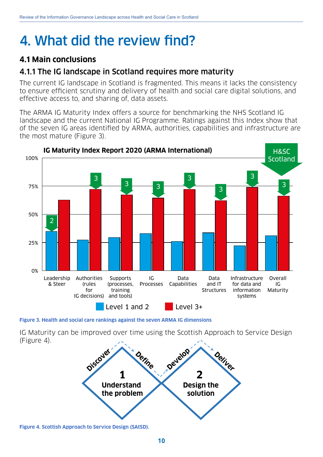# <span id="page-9-0"></span>4. What did the review find?

# **4.1 Main conclusions**

### 4.1.1 The IG landscape in Scotland requires more maturity

The current IG landscape in Scotland is fragmented. This means it lacks the consistency to ensure efficient scrutiny and delivery of health and social care digital solutions, and effective access to, and sharing of, data assets.

The ARMA IG Maturity Index offers a source for benchmarking the NHS Scotland IG landscape and the current National IG Programme. Ratings against this Index show that of the seven IG areas identified by ARMA, authorities, capabilities and infrastructure are the most mature (Figure 3).



**Figure 3. Health and social care rankings against the seven ARMA IG dimensions**

IG Maturity can be improved over time using the Scottish Approach to Service Design (Figure 4).



**Figure 4. Scottish Approach to Service Design (SAtSD).**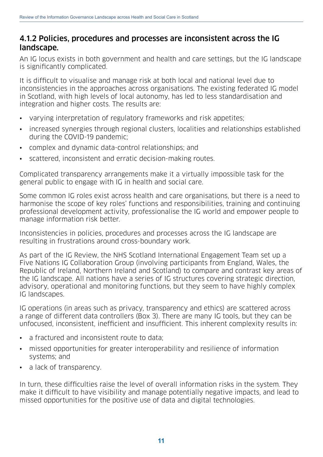### 4.1.2 Policies, procedures and processes are inconsistent across the IG landscape.

An IG locus exists in both government and health and care settings, but the IG landscape is significantly complicated.

It is difficult to visualise and manage risk at both local and national level due to inconsistencies in the approaches across organisations. The existing federated IG model in Scotland, with high levels of local autonomy, has led to less standardisation and integration and higher costs. The results are:

- varying interpretation of regulatory frameworks and risk appetites;
- increased synergies through regional clusters, localities and relationships established during the COVID-19 pandemic;
- complex and dynamic data-control relationships; and
- scattered, inconsistent and erratic decision-making routes.

Complicated transparency arrangements make it a virtually impossible task for the general public to engage with IG in health and social care.

Some common IG roles exist across health and care organisations, but there is a need to harmonise the scope of key roles' functions and responsibilities, training and continuing professional development activity, professionalise the IG world and empower people to manage information risk better.

Inconsistencies in policies, procedures and processes across the IG landscape are resulting in frustrations around cross-boundary work.

As part of the IG Review, the NHS Scotland International Engagement Team set up a Five Nations IG Collaboration Group (involving participants from England, Wales, the Republic of Ireland, Northern Ireland and Scotland) to compare and contrast key areas of the IG landscape. All nations have a series of IG structures covering strategic direction, advisory, operational and monitoring functions, but they seem to have highly complex IG landscapes.

IG operations (in areas such as privacy, transparency and ethics) are scattered across a range of different data controllers (Box 3). There are many IG tools, but they can be unfocused, inconsistent, inefficient and insufficient. This inherent complexity results in:

- a fractured and inconsistent route to data;
- missed opportunities for greater interoperability and resilience of information systems; and
- a lack of transparency.

In turn, these difficulties raise the level of overall information risks in the system. They make it difficult to have visibility and manage potentially negative impacts, and lead to missed opportunities for the positive use of data and digital technologies.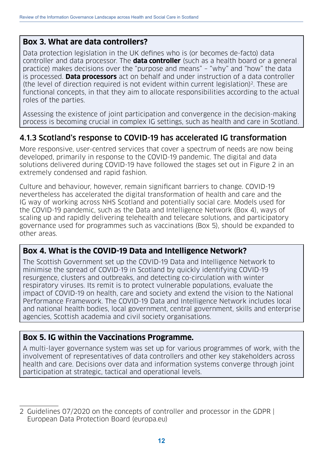### **Box 3. What are data controllers?**

Data protection legislation in the UK defines who is (or becomes de-facto) data controller and data processor. The **data controller** (such as a health board or a general practice) makes decisions over the "purpose and means" – "why" and "how" the data is processed. **Data processors** act on behalf and under instruction of a data controller (the level of direction required is not evident within current legislation)<sup>2</sup>. These are functional concepts, in that they aim to allocate responsibilities according to the actual roles of the parties.

Assessing the existence of joint participation and convergence in the decision-making process is becoming crucial in complex IG settings, such as health and care in Scotland.

## 4.1.3 Scotland's response to COVID-19 has accelerated IG transformation

More responsive, user-centred services that cover a spectrum of needs are now being developed, primarily in response to the COVID-19 pandemic. The digital and data solutions delivered during COVID-19 have followed the stages set out in Figure 2 in an extremely condensed and rapid fashion.

Culture and behaviour, however, remain significant barriers to change. COVID-19 nevertheless has accelerated the digital transformation of health and care and the IG way of working across NHS Scotland and potentially social care. Models used for the COVID-19 pandemic, such as the Data and Intelligence Network (Box 4), ways of scaling up and rapidly delivering telehealth and telecare solutions, and participatory governance used for programmes such as vaccinations (Box 5), should be expanded to other areas.

### **Box 4. What is the COVID-19 Data and Intelligence Network?**

The Scottish Government set up the COVID-19 Data and Intelligence Network to minimise the spread of COVID-19 in Scotland by quickly identifying COVID-19 resurgence, clusters and outbreaks, and detecting co-circulation with winter respiratory viruses. Its remit is to protect vulnerable populations, evaluate the impact of COVID-19 on health, care and society and extend the vision to the National Performance Framework. The COVID-19 Data and Intelligence Network includes local and national health bodies, local government, central government, skills and enterprise agencies, Scottish academia and civil society organisations.

### **Box 5. IG within the Vaccinations Programme.**

A multi-layer governance system was set up for various programmes of work, with the involvement of representatives of data controllers and other key stakeholders across health and care. Decisions over data and information systems converge through joint participation at strategic, tactical and operational levels.

<sup>2</sup> Guidelines 07/2020 on the concepts of controller and processor in the GDPR | European Data Protection Board (europa.eu)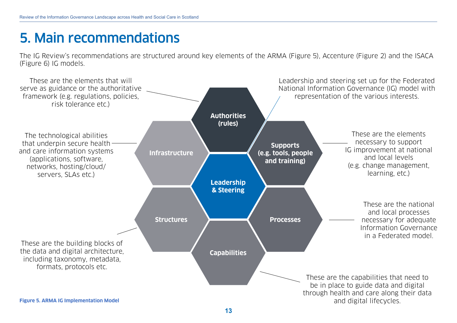# <span id="page-12-0"></span>5. Main recommendations

The IG Review's recommendations are structured around key elements of the ARMA ([Figure 5\)](#page-12-1), Accenture ([Figure 2](#page-7-1)) and the ISACA ([Figure](#page-13-0) 6) IG models.

<span id="page-12-1"></span>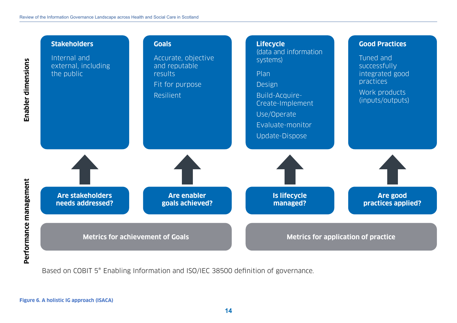

<span id="page-13-0"></span>Based on COBIT 5® Enabling Information and ISO/IEC 38500 definition of governance.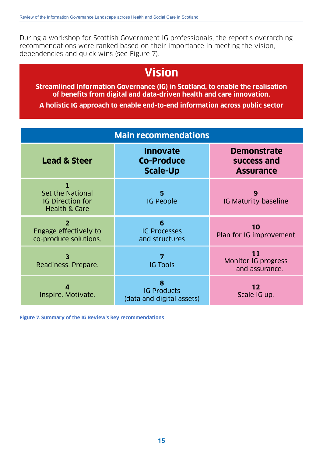During a workshop for Scottish Government IG professionals, the report's overarching recommendations were ranked based on their importance in meeting the vision, dependencies and quick wins (see Figure 7).

# **Vision**

**Streamlined Information Governance (IG) in Scotland, to enable the realisation of benefits from digital and data-driven health and care innovation.** 

**A holistic IG approach to enable end-to-end information across public sector**

| <b>Main recommendations</b>                                                  |                                                         |                                                       |
|------------------------------------------------------------------------------|---------------------------------------------------------|-------------------------------------------------------|
| <b>Lead &amp; Steer</b>                                                      | <b>Innovate</b><br><b>Co-Produce</b><br><b>Scale-Up</b> | <b>Demonstrate</b><br>success and<br><b>Assurance</b> |
| 1<br>Set the National<br><b>IG Direction for</b><br><b>Health &amp; Care</b> | 5<br><b>IG People</b>                                   | 9<br><b>IG Maturity baseline</b>                      |
| $\overline{2}$<br>Engage effectively to<br>co-produce solutions.             | 6<br><b>IG Processes</b><br>and structures              | 10<br>Plan for IG improvement                         |
| 3<br>Readiness. Prepare.                                                     | 7<br><b>IG Tools</b>                                    | 11<br>Monitor IG progress<br>and assurance.           |
| Inspire. Motivate.                                                           | 8<br><b>IG Products</b><br>(data and digital assets)    | 12<br>Scale IG up.                                    |

**Figure 7. Summary of the IG Review's key recommendations**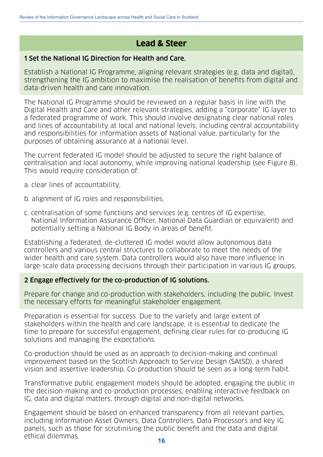# **Lead & Steer**

#### 1 Set the National IG Direction for Health and Care.

Establish a National IG Programme, aligning relevant strategies (e.g. data and digital), strengthening the IG ambition to maximise the realisation of benefits from digital and data-driven health and care innovation.

The National IG Programme should be reviewed on a regular basis in line with the Digital Health and Care and other relevant strategies, adding a "corporate" IG layer to a federated programme of work. This should involve designating clear national roles and lines of accountability at local and national levels; including central accountability and responsibilities for information assets of National value, particularly for the purposes of obtaining assurance at a national level.

The current federated IG model should be adjusted to secure the right balance of centralisation and local autonomy, while improving national leadership (see Figure 8). This would require consideration of:

- a. clear lines of accountability,
- b. alignment of IG roles and responsibilities,
- c. centralisation of some functions and services (e.g. centres of IG expertise, National Information Assurance Officer, National Data Guardian or equivalent) and potentially setting a National IG Body in areas of benefit.

Establishing a federated, de-cluttered IG model would allow autonomous data controllers and various central structures to collaborate to meet the needs of the wider health and care system. Data controllers would also have more influence in large-scale data processing decisions through their participation in various IG groups.

#### 2 Engage effectively for the co-production of IG solutions.

Prepare for change and co-production with stakeholders, including the public. Invest the necessary efforts for meaningful stakeholder engagement.

Preparation is essential for success. Due to the variety and large extent of stakeholders within the health and care landscape, it is essential to dedicate the time to prepare for successful engagement, defining clear rules for co-producing IG solutions and managing the expectations.

Co-production should be used as an approach to decision-making and continual improvement based on the Scottish Approach to Service Design (SAtSD), a shared vision and assertive leadership. Co-production should be seen as a long-term habit.

Transformative public engagement models should be adopted, engaging the public in the decision-making and co-production processes, enabling interactive feedback on IG, data and digital matters, through digital and non-digital networks.

Engagement should be based on enhanced transparency from all relevant parties, including Information Asset Owners, Data Controllers, Data Processors and key IG panels, such as those for scrutinising the public benefit and the data and digital ethical dilemmas.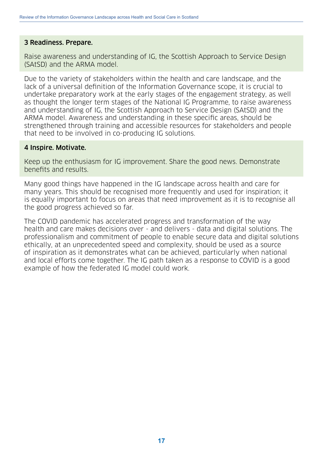#### 3 Readiness. Prepare.

Raise awareness and understanding of IG, the Scottish Approach to Service Design (SAtSD) and the ARMA model.

Due to the variety of stakeholders within the health and care landscape, and the lack of a universal definition of the Information Governance scope, it is crucial to undertake preparatory work at the early stages of the engagement strategy, as well as thought the longer term stages of the National IG Programme, to raise awareness and understanding of IG, the Scottish Approach to Service Design (SAtSD) and the ARMA model. Awareness and understanding in these specific areas, should be strengthened through training and accessible resources for stakeholders and people that need to be involved in co-producing IG solutions.

#### 4 Inspire. Motivate.

Keep up the enthusiasm for IG improvement. Share the good news. Demonstrate benefits and results.

Many good things have happened in the IG landscape across health and care for many years. This should be recognised more frequently and used for inspiration; it is equally important to focus on areas that need improvement as it is to recognise all the good progress achieved so far.

The COVID pandemic has accelerated progress and transformation of the way health and care makes decisions over - and delivers - data and digital solutions. The professionalism and commitment of people to enable secure data and digital solutions ethically, at an unprecedented speed and complexity, should be used as a source of inspiration as it demonstrates what can be achieved, particularly when national and local efforts come together. The IG path taken as a response to COVID is a good example of how the federated IG model could work.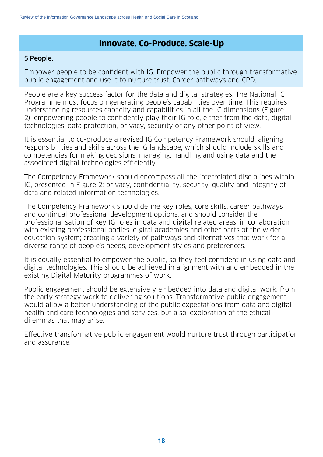### **Innovate. Co-Produce. Scale-Up**

#### 5 People.

Empower people to be confident with IG. Empower the public through transformative public engagement and use it to nurture trust. Career pathways and CPD.

People are a key success factor for the data and digital strategies. The National IG Programme must focus on generating people's capabilities over time. This requires understanding resources capacity and capabilities in all the IG dimensions (Figure 2), empowering people to confidently play their IG role, either from the data, digital technologies, data protection, privacy, security or any other point of view.

It is essential to co-produce a revised IG Competency Framework should, aligning responsibilities and skills across the IG landscape, which should include skills and competencies for making decisions, managing, handling and using data and the associated digital technologies efficiently.

The Competency Framework should encompass all the interrelated disciplines within IG, presented in Figure 2: privacy, confidentiality, security, quality and integrity of data and related information technologies.

The Competency Framework should define key roles, core skills, career pathways and continual professional development options, and should consider the professionalisation of key IG roles in data and digital related areas, in collaboration with existing professional bodies, digital academies and other parts of the wider education system; creating a variety of pathways and alternatives that work for a diverse range of people's needs, development styles and preferences.

It is equally essential to empower the public, so they feel confident in using data and digital technologies. This should be achieved in alignment with and embedded in the existing Digital Maturity programmes of work.

Public engagement should be extensively embedded into data and digital work, from the early strategy work to delivering solutions. Transformative public engagement would allow a better understanding of the public expectations from data and digital health and care technologies and services, but also, exploration of the ethical dilemmas that may arise.

Effective transformative public engagement would nurture trust through participation and assurance.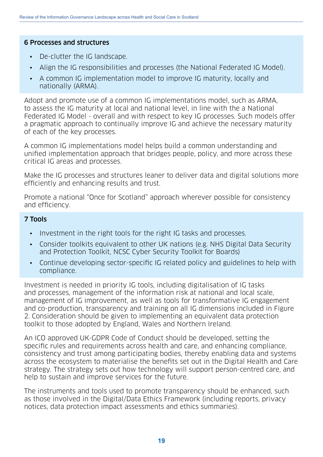#### 6 Processes and structures

- De-clutter the IG landscape.
- Align the IG responsibilities and processes (the National Federated IG Model).
- A common IG implementation model to improve IG maturity, locally and nationally (ARMA).

Adopt and promote use of a common IG implementations model, such as ARMA, to assess the IG maturity at local and national level, in line with the a National Federated IG Model - overall and with respect to key IG processes. Such models offer a pragmatic approach to continually improve IG and achieve the necessary maturity of each of the key processes.

A common IG implementations model helps build a common understanding and unified implementation approach that bridges people, policy, and more across these critical IG areas and processes.

Make the IG processes and structures leaner to deliver data and digital solutions more efficiently and enhancing results and trust.

Promote a national "Once for Scotland" approach wherever possible for consistency and efficiency.

#### 7 Tools

- Investment in the right tools for the right IG tasks and processes.
- Consider toolkits equivalent to other UK nations (e.g. NHS Digital Data Security and Protection Toolkit, NCSC Cyber Security Toolkit for Boards)
- Continue developing sector-specific IG related policy and guidelines to help with compliance.

Investment is needed in priority IG tools, including digitalisation of IG tasks and processes, management of the information risk at national and local scale, management of IG improvement, as well as tools for transformative IG engagement and co-production, transparency and training on all IG dimensions included in Figure 2. Consideration should be given to implementing an equivalent data protection toolkit to those adopted by England, Wales and Northern Ireland.

An ICO approved UK-GDPR Code of Conduct should be developed, setting the specific rules and requirements across health and care, and enhancing compliance, consistency and trust among participating bodies, thereby enabling data and systems across the ecosystem to materialise the benefits set out in the Digital Health and Care strategy. The strategy sets out how technology will support person-centred care, and help to sustain and improve services for the future.

The instruments and tools used to promote transparency should be enhanced, such as those involved in the Digital/Data Ethics Framework (including reports, privacy notices, data protection impact assessments and ethics summaries).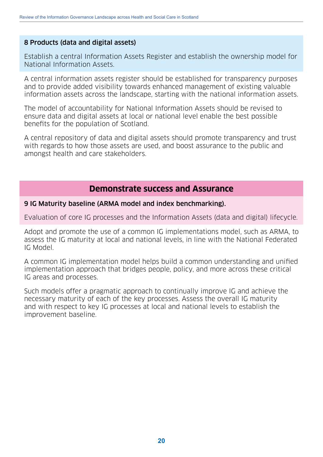#### 8 Products (data and digital assets)

Establish a central Information Assets Register and establish the ownership model for National Information Assets.

A central information assets register should be established for transparency purposes and to provide added visibility towards enhanced management of existing valuable information assets across the landscape, starting with the national information assets.

The model of accountability for National Information Assets should be revised to ensure data and digital assets at local or national level enable the best possible benefits for the population of Scotland.

A central repository of data and digital assets should promote transparency and trust with regards to how those assets are used, and boost assurance to the public and amongst health and care stakeholders.

### **Demonstrate success and Assurance**

#### 9 IG Maturity baseline (ARMA model and index benchmarking).

Evaluation of core IG processes and the Information Assets (data and digital) lifecycle.

Adopt and promote the use of a common IG implementations model, such as ARMA, to assess the IG maturity at local and national levels, in line with the National Federated IG Model.

A common IG implementation model helps build a common understanding and unified implementation approach that bridges people, policy, and more across these critical IG areas and processes.

Such models offer a pragmatic approach to continually improve IG and achieve the necessary maturity of each of the key processes. Assess the overall IG maturity and with respect to key IG processes at local and national levels to establish the improvement baseline.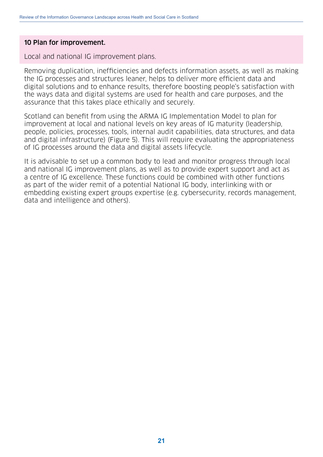#### 10 Plan for improvement.

Local and national IG improvement plans.

Removing duplication, inefficiencies and defects information assets, as well as making the IG processes and structures leaner, helps to deliver more efficient data and digital solutions and to enhance results, therefore boosting people's satisfaction with the ways data and digital systems are used for health and care purposes, and the assurance that this takes place ethically and securely.

Scotland can benefit from using the ARMA IG Implementation Model to plan for improvement at local and national levels on key areas of IG maturity (leadership, people, policies, processes, tools, internal audit capabilities, data structures, and data and digital infrastructure) (Figure 5). This will require evaluating the appropriateness of IG processes around the data and digital assets lifecycle.

It is advisable to set up a common body to lead and monitor progress through local and national IG improvement plans, as well as to provide expert support and act as a centre of IG excellence. These functions could be combined with other functions as part of the wider remit of a potential National IG body, interlinking with or embedding existing expert groups expertise (e.g. cybersecurity, records management, data and intelligence and others).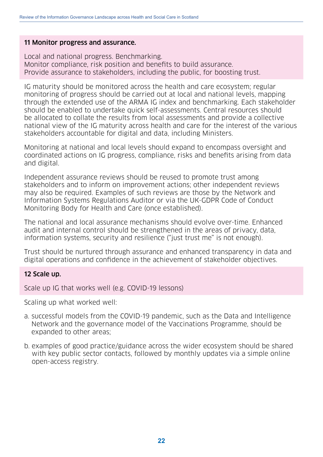#### 11 Monitor progress and assurance.

Local and national progress. Benchmarking. Monitor compliance, risk position and benefits to build assurance. Provide assurance to stakeholders, including the public, for boosting trust.

IG maturity should be monitored across the health and care ecosystem; regular monitoring of progress should be carried out at local and national levels, mapping through the extended use of the ARMA IG index and benchmarking. Each stakeholder should be enabled to undertake quick self-assessments. Central resources should be allocated to collate the results from local assessments and provide a collective national view of the IG maturity across health and care for the interest of the various stakeholders accountable for digital and data, including Ministers.

Monitoring at national and local levels should expand to encompass oversight and coordinated actions on IG progress, compliance, risks and benefits arising from data and digital.

Independent assurance reviews should be reused to promote trust among stakeholders and to inform on improvement actions; other independent reviews may also be required. Examples of such reviews are those by the Network and Information Systems Regulations Auditor or via the UK-GDPR Code of Conduct Monitoring Body for Health and Care (once established).

The national and local assurance mechanisms should evolve over-time. Enhanced audit and internal control should be strengthened in the areas of privacy, data, information systems, security and resilience ("just trust me" is not enough).

Trust should be nurtured through assurance and enhanced transparency in data and digital operations and confidence in the achievement of stakeholder objectives.

#### 12 Scale up.

Scale up IG that works well (e.g. COVID-19 lessons)

Scaling up what worked well:

- a. successful models from the COVID-19 pandemic, such as the Data and Intelligence Network and the governance model of the Vaccinations Programme, should be expanded to other areas;
- b. examples of good practice/guidance across the wider ecosystem should be shared with key public sector contacts, followed by monthly updates via a simple online open-access registry.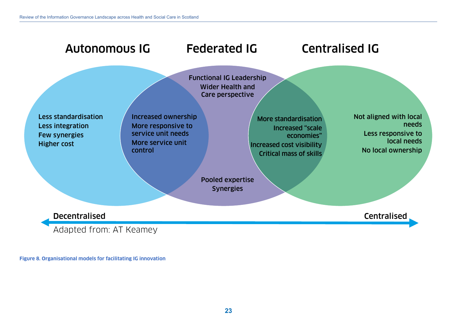

**Figure 8. Organisational models for facilitating IG innovation**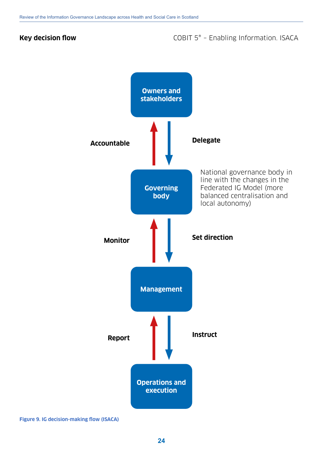### **Key decision flow COBIT 5<sup>®</sup> – Enabling Information. ISACA**



**Figure 9. IG decision-making flow (ISACA)**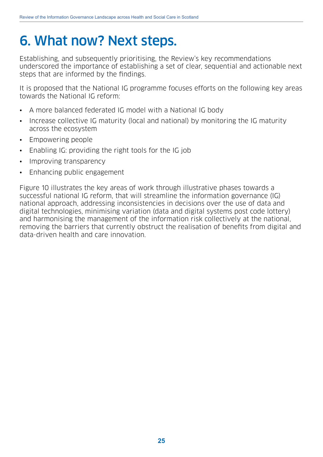# <span id="page-24-0"></span>6. What now? Next steps.

Establishing, and subsequently prioritising, the Review's key recommendations underscored the importance of establishing a set of clear, sequential and actionable next steps that are informed by the findings.

It is proposed that the National IG programme focuses efforts on the following key areas towards the National IG reform:

- A more balanced federated IG model with a National IG body
- Increase collective IG maturity (local and national) by monitoring the IG maturity across the ecosystem
- Empowering people
- Enabling IG: providing the right tools for the IG job
- Improving transparency
- Enhancing public engagement

Figure 10 illustrates the key areas of work through illustrative phases towards a successful national IG reform, that will streamline the information governance (IG) national approach, addressing inconsistencies in decisions over the use of data and digital technologies, minimising variation (data and digital systems post code lottery) and harmonising the management of the information risk collectively at the national, removing the barriers that currently obstruct the realisation of benefits from digital and data-driven health and care innovation.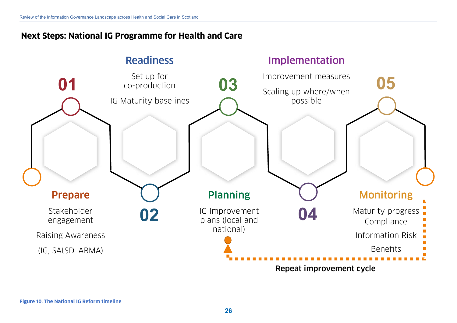## **Next Steps: National IG Programme for Health and Care**